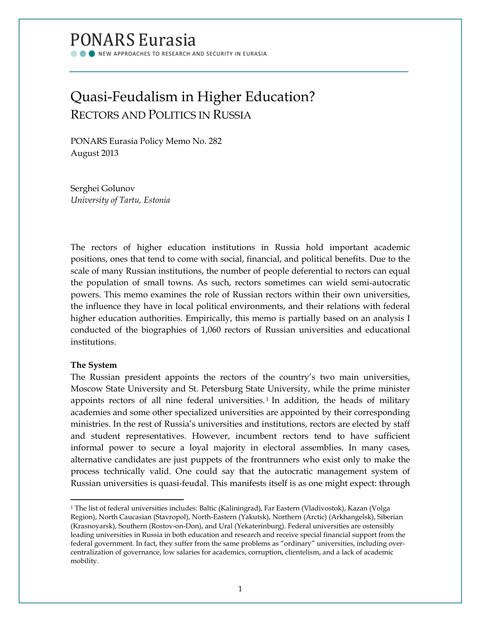# **PONARS Eurasia**

NEW APPROACHES TO RESEARCH AND SECURITY IN EURASIA

## Quasi-Feudalism in Higher Education? RECTORS AND POLITICS IN RUSSIA

PONARS Eurasia Policy Memo No. 282 August 2013

Serghei Golunov *University of Tartu, Estonia*

The rectors of higher education institutions in Russia hold important academic positions, ones that tend to come with social, financial, and political benefits. Due to the scale of many Russian institutions, the number of people deferential to rectors can equal the population of small towns. As such, rectors sometimes can wield semi-autocratic powers. This memo examines the role of Russian rectors within their own universities, the influence they have in local political environments, and their relations with federal higher education authorities. Empirically, this memo is partially based on an analysis I conducted of the biographies of 1,060 rectors of Russian universities and educational institutions.

### **The System**

The Russian president appoints the rectors of the country's two main universities, Moscow State University and St. Petersburg State University, while the prime minister appoints rectors of all nine federal universities.<sup>[1](#page-0-0)</sup> In addition, the heads of military academies and some other specialized universities are appointed by their corresponding ministries. In the rest of Russia's universities and institutions, rectors are elected by staff and student representatives. However, incumbent rectors tend to have sufficient informal power to secure a loyal majority in electoral assemblies. In many cases, alternative candidates are just puppets of the frontrunners who exist only to make the process technically valid. One could say that the autocratic management system of Russian universities is quasi-feudal. This manifests itself is as one might expect: through

<span id="page-0-0"></span><sup>1</sup> The list of federal universities includes: Baltic (Kaliningrad), Far Eastern (Vladivostok), Kazan (Volga Region), North Caucasian (Stavropol), North-Eastern (Yakutsk), Northern (Arctic) (Arkhangelsk), Siberian (Krasnoyarsk), Southern (Rostov-on-Don), and Ural (Yekaterinburg). Federal universities are ostensibly leading universities in Russia in both education and research and receive special financial support from the federal government. In fact, they suffer from the same problems as "ordinary" universities, including overcentralization of governance, low salaries for academics, corruption, clientelism, and a lack of academic mobility. l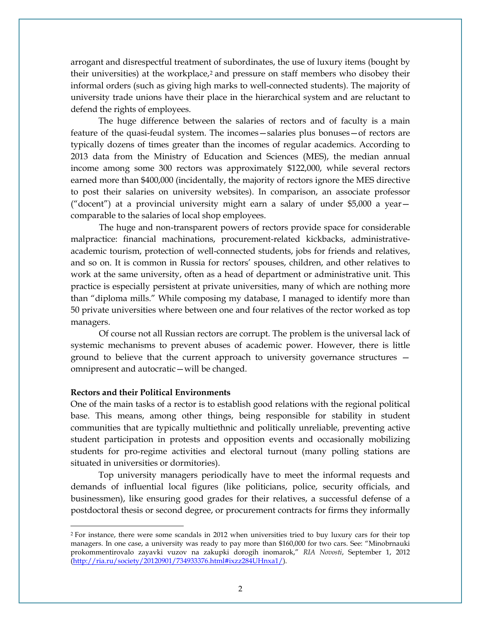arrogant and disrespectful treatment of subordinates, the use of luxury items (bought by their universities) at the workplace,<sup>[2](#page-1-0)</sup> and pressure on staff members who disobey their informal orders (such as giving high marks to well-connected students). The majority of university trade unions have their place in the hierarchical system and are reluctant to defend the rights of employees.

The huge difference between the salaries of rectors and of faculty is a main feature of the quasi-feudal system. The incomes—salaries plus bonuses—of rectors are typically dozens of times greater than the incomes of regular academics. According to 2013 data from the Ministry of Education and Sciences (MES), the median annual income among some 300 rectors was approximately \$122,000, while several rectors earned more than \$400,000 (incidentally, the majority of rectors ignore the MES directive to post their salaries on university websites). In comparison, an associate professor ("docent") at a provincial university might earn a salary of under \$5,000 a year comparable to the salaries of local shop employees.

The huge and non-transparent powers of rectors provide space for considerable malpractice: financial machinations, procurement-related kickbacks, administrativeacademic tourism, protection of well-connected students, jobs for friends and relatives, and so on. It is common in Russia for rectors' spouses, children, and other relatives to work at the same university, often as a head of department or administrative unit. This practice is especially persistent at private universities, many of which are nothing more than "diploma mills." While composing my database, I managed to identify more than 50 private universities where between one and four relatives of the rector worked as top managers.

Of course not all Russian rectors are corrupt. The problem is the universal lack of systemic mechanisms to prevent abuses of academic power. However, there is little ground to believe that the current approach to university governance structures omnipresent and autocratic—will be changed.

#### **Rectors and their Political Environments**

l

One of the main tasks of a rector is to establish good relations with the regional political base. This means, among other things, being responsible for stability in student communities that are typically multiethnic and politically unreliable, preventing active student participation in protests and opposition events and occasionally mobilizing students for pro-regime activities and electoral turnout (many polling stations are situated in universities or dormitories).

Top university managers periodically have to meet the informal requests and demands of influential local figures (like politicians, police, security officials, and businessmen), like ensuring good grades for their relatives, a successful defense of a postdoctoral thesis or second degree, or procurement contracts for firms they informally

<span id="page-1-0"></span><sup>&</sup>lt;sup>2</sup> For instance, there were some scandals in 2012 when universities tried to buy luxury cars for their top managers. In one case, a university was ready to pay more than \$160,000 for two cars. See: "Minobrnauki prokommentirovalo zayavki vuzov na zakupki dorogih inomarok," *RIA Novosti*, September 1, 2012 [\(http://ria.ru/society/20120901/734933376.html#ixzz284UHnxa1/\)](http://ria.ru/society/20120901/734933376.html%23ixzz284UHnxa1/).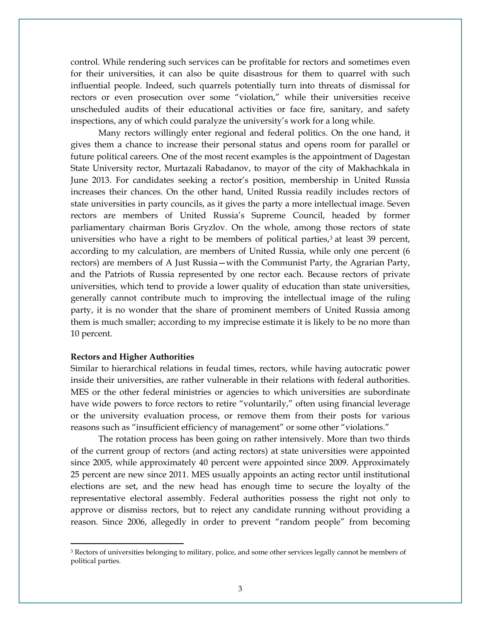control. While rendering such services can be profitable for rectors and sometimes even for their universities, it can also be quite disastrous for them to quarrel with such influential people. Indeed, such quarrels potentially turn into threats of dismissal for rectors or even prosecution over some "violation," while their universities receive unscheduled audits of their educational activities or face fire, sanitary, and safety inspections, any of which could paralyze the university's work for a long while.

Many rectors willingly enter regional and federal politics. On the one hand, it gives them a chance to increase their personal status and opens room for parallel or future political careers. One of the most recent examples is the appointment of Dagestan State University rector, Murtazali Rabadanov, to mayor of the city of Makhachkala in June 2013. For candidates seeking a rector's position, membership in United Russia increases their chances. On the other hand, United Russia readily includes rectors of state universities in party councils, as it gives the party a more intellectual image. Seven rectors are members of United Russia's Supreme Council, headed by former parliamentary chairman Boris Gryzlov. On the whole, among those rectors of state universities who have a right to be members of political parties, $\delta$  at least [3](#page-2-0)9 percent, according to my calculation, are members of United Russia, while only one percent (6 rectors) are members of A Just Russia—with the Communist Party, the Agrarian Party, and the Patriots of Russia represented by one rector each. Because rectors of private universities, which tend to provide a lower quality of education than state universities, generally cannot contribute much to improving the intellectual image of the ruling party, it is no wonder that the share of prominent members of United Russia among them is much smaller; according to my imprecise estimate it is likely to be no more than 10 percent.

#### **Rectors and Higher Authorities**

l

Similar to hierarchical relations in feudal times, rectors, while having autocratic power inside their universities, are rather vulnerable in their relations with federal authorities. MES or the other federal ministries or agencies to which universities are subordinate have wide powers to force rectors to retire "voluntarily," often using financial leverage or the university evaluation process, or remove them from their posts for various reasons such as "insufficient efficiency of management" or some other "violations."

The rotation process has been going on rather intensively. More than two thirds of the current group of rectors (and acting rectors) at state universities were appointed since 2005, while approximately 40 percent were appointed since 2009. Approximately 25 percent are new since 2011. MES usually appoints an acting rector until institutional elections are set, and the new head has enough time to secure the loyalty of the representative electoral assembly. Federal authorities possess the right not only to approve or dismiss rectors, but to reject any candidate running without providing a reason. Since 2006, allegedly in order to prevent "random people" from becoming

<span id="page-2-0"></span><sup>&</sup>lt;sup>3</sup> Rectors of universities belonging to military, police, and some other services legally cannot be members of political parties.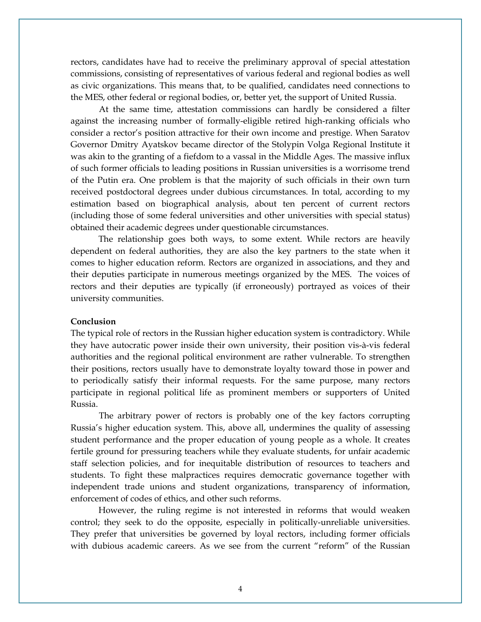rectors, candidates have had to receive the preliminary approval of special attestation commissions, consisting of representatives of various federal and regional bodies as well as civic organizations. This means that, to be qualified, candidates need connections to the MES, other federal or regional bodies, or, better yet, the support of United Russia.

At the same time, attestation commissions can hardly be considered a filter against the increasing number of formally-eligible retired high-ranking officials who consider a rector's position attractive for their own income and prestige. When Saratov Governor Dmitry Ayatskov became director of the Stolypin Volga Regional Institute it was akin to the granting of a fiefdom to a vassal in the Middle Ages. The massive influx of such former officials to leading positions in Russian universities is a worrisome trend of the Putin era. One problem is that the majority of such officials in their own turn received postdoctoral degrees under dubious circumstances. In total, according to my estimation based on biographical analysis, about ten percent of current rectors (including those of some federal universities and other universities with special status) obtained their academic degrees under questionable circumstances.

The relationship goes both ways, to some extent. While rectors are heavily dependent on federal authorities, they are also the key partners to the state when it comes to higher education reform. Rectors are organized in associations, and they and their deputies participate in numerous meetings organized by the MES. The voices of rectors and their deputies are typically (if erroneously) portrayed as voices of their university communities.

#### **Conclusion**

The typical role of rectors in the Russian higher education system is contradictory. While they have autocratic power inside their own university, their position vis-à-vis federal authorities and the regional political environment are rather vulnerable. To strengthen their positions, rectors usually have to demonstrate loyalty toward those in power and to periodically satisfy their informal requests. For the same purpose, many rectors participate in regional political life as prominent members or supporters of United Russia.

The arbitrary power of rectors is probably one of the key factors corrupting Russia's higher education system. This, above all, undermines the quality of assessing student performance and the proper education of young people as a whole. It creates fertile ground for pressuring teachers while they evaluate students, for unfair academic staff selection policies, and for inequitable distribution of resources to teachers and students. To fight these malpractices requires democratic governance together with independent trade unions and student organizations, transparency of information, enforcement of codes of ethics, and other such reforms.

However, the ruling regime is not interested in reforms that would weaken control; they seek to do the opposite, especially in politically-unreliable universities. They prefer that universities be governed by loyal rectors, including former officials with dubious academic careers. As we see from the current "reform" of the Russian